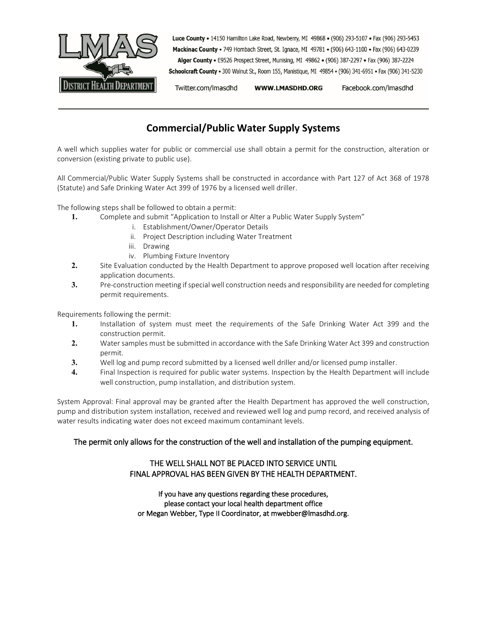

Luce County . 14150 Hamilton Lake Road, Newberry, MI 49868 . (906) 293-5107 . Fax (906) 293-5453 Mackinac County . 749 Hombach Street, St. Ignace, MI 49781 . (906) 643-1100 . Fax (906) 643-0239 Alger County . E9526 Prospect Street, Munising, MI 49862 . (906) 387-2297 . Fax (906) 387-2224

Schoolcraft County . 300 Walnut St., Room 155, Manistique, MI 49854 . (906) 341-6951 . Fax (906) 341-5230

Twitter.com/Imasdhd WWW.LMASDHD.ORG Facebook.com/Imasdhd

# **Commercial/Public Water Supply Systems**

A well which supplies water for public or commercial use shall obtain a permit for the construction, alteration or conversion (existing private to public use).

All Commercial/Public Water Supply Systems shall be constructed in accordance with Part 127 of Act 368 of 1978 (Statute) and Safe Drinking Water Act 399 of 1976 by a licensed well driller.

The following steps shall be followed to obtain a permit:

- **1.** Complete and submit "Application to Install or Alter a Public Water Supply System"
	- i. Establishment/Owner/Operator Details
	- ii. Project Description including Water Treatment
	- iii. Drawing
	- iv. Plumbing Fixture Inventory
- **2.** Site Evaluation conducted by the Health Department to approve proposed well location after receiving application documents.
- **3.** Pre-construction meeting if special well construction needs and responsibility are needed for completing permit requirements.

Requirements following the permit:

- **1.** Installation of system must meet the requirements of the Safe Drinking Water Act 399 and the construction permit.
- **2.** Water samples must be submitted in accordance with the Safe Drinking Water Act 399 and construction permit.
- **3.** Well log and pump record submitted by a licensed well driller and/or licensed pump installer.
- **4.** Final Inspection is required for public water systems. Inspection by the Health Department will include well construction, pump installation, and distribution system.

System Approval: Final approval may be granted after the Health Department has approved the well construction, pump and distribution system installation, received and reviewed well log and pump record, and received analysis of water results indicating water does not exceed maximum contaminant levels.

### The permit only allows for the construction of the well and installation of the pumping equipment.

### THE WELL SHALL NOT BE PLACED INTO SERVICE UNTIL FINAL APPROVAL HAS BEEN GIVEN BY THE HEALTH DEPARTMENT.

If you have any questions regarding these procedures, please contact your local health department office or Megan Webber, Type II Coordinator, at mwebber@lmasdhd.org.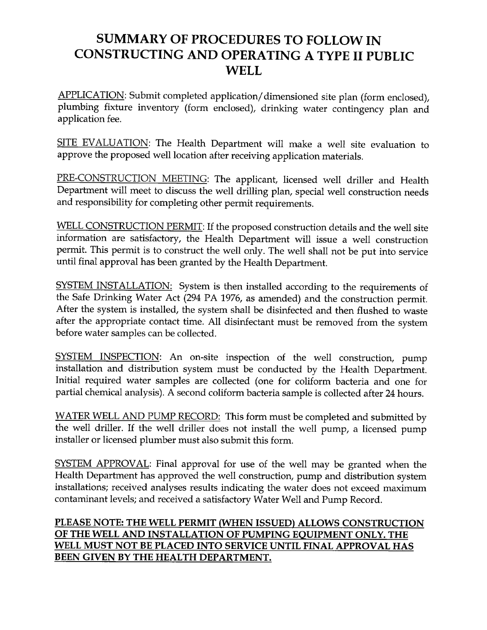# SUMMARY OF PROCEDURES TO FOLLOW IN **CONSTRUCTING AND OPERATING A TYPE II PUBLIC WELL**

APPLICATION: Submit completed application/dimensioned site plan (form enclosed), plumbing fixture inventory (form enclosed), drinking water contingency plan and application fee.

SITE EVALUATION: The Health Department will make a well site evaluation to approve the proposed well location after receiving application materials.

PRE-CONSTRUCTION MEETING: The applicant, licensed well driller and Health Department will meet to discuss the well drilling plan, special well construction needs and responsibility for completing other permit requirements.

WELL CONSTRUCTION PERMIT: If the proposed construction details and the well site information are satisfactory, the Health Department will issue a well construction permit. This permit is to construct the well only. The well shall not be put into service until final approval has been granted by the Health Department.

SYSTEM INSTALLATION: System is then installed according to the requirements of the Safe Drinking Water Act (294 PA 1976, as amended) and the construction permit. After the system is installed, the system shall be disinfected and then flushed to waste after the appropriate contact time. All disinfectant must be removed from the system before water samples can be collected.

SYSTEM INSPECTION: An on-site inspection of the well construction, pump installation and distribution system must be conducted by the Health Department. Initial required water samples are collected (one for coliform bacteria and one for partial chemical analysis). A second coliform bacteria sample is collected after 24 hours.

WATER WELL AND PUMP RECORD: This form must be completed and submitted by the well driller. If the well driller does not install the well pump, a licensed pump installer or licensed plumber must also submit this form.

SYSTEM APPROVAL: Final approval for use of the well may be granted when the Health Department has approved the well construction, pump and distribution system installations; received analyses results indicating the water does not exceed maximum contaminant levels; and received a satisfactory Water Well and Pump Record.

### PLEASE NOTE: THE WELL PERMIT (WHEN ISSUED) ALLOWS CONSTRUCTION OF THE WELL AND INSTALLATION OF PUMPING EQUIPMENT ONLY. THE WELL MUST NOT BE PLACED INTO SERVICE UNTIL FINAL APPROVAL HAS BEEN GIVEN BY THE HEALTH DEPARTMENT.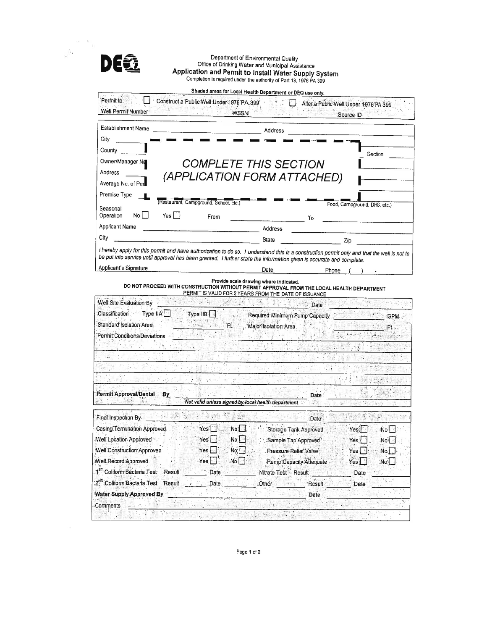|                                                  | Department of Environmental Quality<br>Office of Drinking Water and Municipal Assistance<br>Application and Permit to Install Water Supply System                           |
|--------------------------------------------------|-----------------------------------------------------------------------------------------------------------------------------------------------------------------------------|
|                                                  | Completion is required under the authority of Part 13, 1976 PA 399                                                                                                          |
| Permit to:                                       | Shaded areas for Local Health Department or DEQ use only.                                                                                                                   |
| Well Permit Number                               | Construct a Public Well Under 1976 PA 399<br>Alter a Public Well Under 1976 PA 399<br>$\mathcal{L} = \{ \mathcal{L} \}$ , and<br>22 10 12 12 13<br><b>WSSN</b><br>Source ID |
| Establishment Name                               | Address                                                                                                                                                                     |
| City                                             |                                                                                                                                                                             |
| County                                           | Section                                                                                                                                                                     |
| Owner/Manager Na                                 | <b>COMPLETE THIS SECTION</b>                                                                                                                                                |
| Address                                          | (APPLICATION FORM ATTACHED)                                                                                                                                                 |
| Average No. of Per                               |                                                                                                                                                                             |
| Premise Type                                     |                                                                                                                                                                             |
| Seasonal                                         | (Restaurant, Campground, School, etc.)<br>Food, Campground, DHS, etc.)                                                                                                      |
| Operation<br>Noll<br>Yes $\vert \ \vert$         | From<br>То                                                                                                                                                                  |
| Applicant Name                                   | Address<br><u> Alexandro de la contrada de la con</u>                                                                                                                       |
| City                                             | State<br>Zip                                                                                                                                                                |
| Applicant's Signature                            | Date<br>Phone<br>Provide scale drawing where indicated.                                                                                                                     |
|                                                  |                                                                                                                                                                             |
|                                                  | DO NOT PROCEED WITH CONSTRUCTION WITHOUT PERMIT APPROVAL FROM THE LOCAL HEALTH DEPARTMENT<br>PERMIT IS VALID FOR 2 YEARS FROM THE DATE OF ISSUANCE                          |
| Well Site Evaluation By                          | Date                                                                                                                                                                        |
| Classification Type IIA                          | Type.IIB<br>Required Minimum Pump Capacity<br>GPM.                                                                                                                          |
| Standard Isolation Area                          | , Major Isolation Area<br>$F_{\rm H}$                                                                                                                                       |
| Permit Conditions/Deviations                     |                                                                                                                                                                             |
|                                                  |                                                                                                                                                                             |
|                                                  |                                                                                                                                                                             |
|                                                  |                                                                                                                                                                             |
|                                                  | $\sim 100$                                                                                                                                                                  |
| <b>Permit Approval/Denial</b><br>By              | Date<br>提前<br>Not valid unless signed by local health department                                                                                                            |
| Final Inspection By                              | 经通知法 做<br>$\mathcal{O}(\epsilon)$<br><b>PAND</b><br>$\mathcal{L}^*$<br>$\boldsymbol{\theta}$                                                                                |
| Casing Termination Approved                      | Date <sup>®</sup><br>Yes <sup>-1</sup><br>No.<br>Yes;                                                                                                                       |
| Well Location Approved                           | Storage Tarik Approved<br>No<br>Yes<br>No L<br>Sample Tap Approved<br>Yes<br>No:                                                                                            |
| Well Construction Approved                       | Yes<br>No<br>: Pressure Relief Valve<br>Yes<br>No.                                                                                                                          |
| Well Record Approved                             | Yes<br>No <sub>1</sub><br>Pump Capacity Adequate<br>:No:<br>Yes,                                                                                                            |
| 1 <sup>87</sup> Coliform Bacteria Test<br>Result | Date<br>Nitrate Test Result<br>Date                                                                                                                                         |
| 2 <sup>ND</sup> Coliform Bacteria Test<br>Result | .Other<br>Date<br>Result<br>Date                                                                                                                                            |
| <b>Water Supply Approved By</b>                  | Date                                                                                                                                                                        |

Page 1 of 2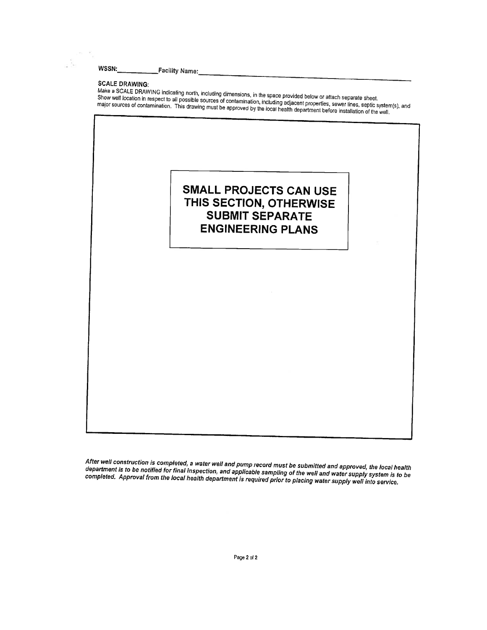$\frac{1}{\lambda}$ 

### **SCALE DRAWING:**

SCALE DRAWING.<br>Make a SCALE DRAWING indicating north, including dimensions, in the space provided below or attach separate sheet.<br>Show well location in respect to all possible sources of contamination, including adjacent p offer well located in respect to an possible sources of comanimation inclusing aspective proportion, sometime, sophic system<br>major sources of contamination. This drawing must be approved by the local health department befo

# **SMALL PROJECTS CAN USE** THIS SECTION, OTHERWISE **SUBMIT SEPARATE ENGINEERING PLANS**

After well construction is completed, a water well and pump record must be submitted and approved, the local health department is to be notified for final inspection, and applicable sampling of the well and water supply system is to be completed. Approval from the local health department is required prior to placing water supply well into service.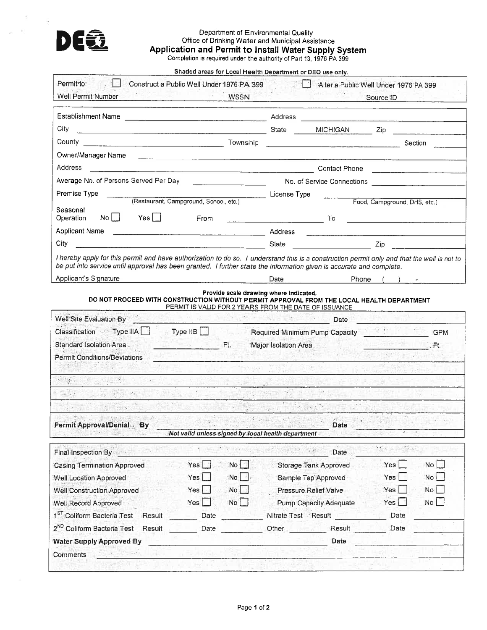

# Department of Environmental Quality<br>Office of Drinking Water and Municipal Assistance<br>Application and Permit to Install Water Supply System<br>Completion is required under the authority of Part 13, 1976 PA 399

Shaded areas for Local Health Department or DEQ use only.

|                                                                                                                                                                                                                                                                     | Construct a Public Well Under 1976 PA 399 |                                                                                                                                                                                                                                                                                                                                                                                                                                |                               | Alter a Public Well Under 1976 PA 399             |            |
|---------------------------------------------------------------------------------------------------------------------------------------------------------------------------------------------------------------------------------------------------------------------|-------------------------------------------|--------------------------------------------------------------------------------------------------------------------------------------------------------------------------------------------------------------------------------------------------------------------------------------------------------------------------------------------------------------------------------------------------------------------------------|-------------------------------|---------------------------------------------------|------------|
| Well Permit Number                                                                                                                                                                                                                                                  | <b>WSSN</b>                               |                                                                                                                                                                                                                                                                                                                                                                                                                                |                               | Source ID                                         |            |
| Establishment Name                                                                                                                                                                                                                                                  |                                           |                                                                                                                                                                                                                                                                                                                                                                                                                                |                               | <u> 1980 - Andrea Angel and Santana (b. 1980)</u> |            |
| City                                                                                                                                                                                                                                                                |                                           | State                                                                                                                                                                                                                                                                                                                                                                                                                          | <b>MICHIGAN</b>               | Zip.                                              |            |
|                                                                                                                                                                                                                                                                     |                                           |                                                                                                                                                                                                                                                                                                                                                                                                                                |                               |                                                   | Section    |
| Owner/Manager Name                                                                                                                                                                                                                                                  |                                           |                                                                                                                                                                                                                                                                                                                                                                                                                                |                               |                                                   |            |
| <b>Address</b>                                                                                                                                                                                                                                                      |                                           |                                                                                                                                                                                                                                                                                                                                                                                                                                |                               | Contact Phone                                     |            |
| Average No. of Persons Served Per Day                                                                                                                                                                                                                               |                                           |                                                                                                                                                                                                                                                                                                                                                                                                                                |                               | No. of Service Connections                        |            |
| Premise Type                                                                                                                                                                                                                                                        |                                           | License Type                                                                                                                                                                                                                                                                                                                                                                                                                   |                               |                                                   |            |
| (Restaurant, Campground, School, etc.)<br>Seasonal                                                                                                                                                                                                                  |                                           |                                                                                                                                                                                                                                                                                                                                                                                                                                |                               | Food, Campground, DHS, etc.)                      |            |
| $No$ $\Box$<br>$Yes$ $\Box$<br>Operation<br>From                                                                                                                                                                                                                    |                                           | $\overline{\phantom{a}}$ To                                                                                                                                                                                                                                                                                                                                                                                                    |                               |                                                   |            |
| Applicant Name                                                                                                                                                                                                                                                      |                                           | Address                                                                                                                                                                                                                                                                                                                                                                                                                        |                               | <u> 1989 - Johann B</u> erry, Amerikaansk politik |            |
| City<br><u> 1989 - Johann Barnett, mars ann an Cathair ann an C</u>                                                                                                                                                                                                 |                                           | State                                                                                                                                                                                                                                                                                                                                                                                                                          |                               | Zip                                               |            |
| I hereby apply for this permit and have authorization to do so. I understand this is a construction permit only and that the well is not to<br>be put into service until approval has been granted. I further state the information given is accurate and complete. |                                           |                                                                                                                                                                                                                                                                                                                                                                                                                                |                               |                                                   |            |
| Applicant's Signature                                                                                                                                                                                                                                               |                                           | Date                                                                                                                                                                                                                                                                                                                                                                                                                           |                               | Phone                                             |            |
| Classification Type IIA Type IIB Required Minimum Pump Capacity                                                                                                                                                                                                     |                                           |                                                                                                                                                                                                                                                                                                                                                                                                                                |                               |                                                   | <b>GPM</b> |
| <b>THE REPORT OF STREET</b>                                                                                                                                                                                                                                         | <b>SALE OF</b>                            | Major Isolation Area                                                                                                                                                                                                                                                                                                                                                                                                           |                               |                                                   | Ft.        |
| Standard Isolation Area<br><b>Permit Conditions/Deviations</b>                                                                                                                                                                                                      |                                           |                                                                                                                                                                                                                                                                                                                                                                                                                                |                               |                                                   |            |
| <b>STAGERIN</b>                                                                                                                                                                                                                                                     |                                           |                                                                                                                                                                                                                                                                                                                                                                                                                                |                               |                                                   |            |
|                                                                                                                                                                                                                                                                     |                                           |                                                                                                                                                                                                                                                                                                                                                                                                                                |                               |                                                   |            |
| $(2 - 1.1 - 1.7)$<br>$\mathcal{N}_{\mathbf{X}}=\mathcal{N}_{\mathbf{X}}=\mathcal{N}_{\mathbf{X}}$ (ii) (ii)<br>Not valid unless signed by local health department                                                                                                   |                                           | $\label{eq:G1} \begin{split} \mathcal{B}_1(\mathbb{R}^2) = & \frac{1}{2} \sum_{\mathbf{k} \in \mathbb{Z}^2} \mathcal{A}_1(\mathbf{k}^2) \mathcal{A}_2(\mathbf{k}^2) \mathcal{A}_1(\mathbf{k}^2) \mathcal{A}_2(\mathbf{k}^2) \mathcal{A}_2(\mathbf{k}^2) \mathcal{A}_3(\mathbf{k}^2) \mathcal{A}_4(\mathbf{k}^2) \mathcal{A}_5(\mathbf{k}^2) \mathcal{A}_6(\mathbf{k}^2) \mathcal{A}_7(\mathbf{k}^2) \mathcal{A}_8(\mathbf{k}^$ | Date                          |                                                   |            |
| Permit Approval/Denial By<br>Final Inspection By                                                                                                                                                                                                                    |                                           | $\mathcal{O}(\mathbb{R}^N)$ . So that $\mathcal{O}(\mathbb{R}^N)$                                                                                                                                                                                                                                                                                                                                                              | 1.21<br>Date                  | $\mathcal{C}(\mathcal{C})$ .<br>弥写                |            |
| Yes                                                                                                                                                                                                                                                                 | No <sub>1</sub>                           |                                                                                                                                                                                                                                                                                                                                                                                                                                | <b>Storage Tank Approved</b>  | Yes                                               | No L       |
| <b>Casing Termination Approved</b><br>Yes<br>Well Location Approved                                                                                                                                                                                                 | :No                                       |                                                                                                                                                                                                                                                                                                                                                                                                                                | Sample Tap Approved           | Yes                                               | No         |
| Yes                                                                                                                                                                                                                                                                 | No.                                       |                                                                                                                                                                                                                                                                                                                                                                                                                                | Pressure Relief Valve         | Yes.                                              | No         |
| Yes                                                                                                                                                                                                                                                                 | No                                        |                                                                                                                                                                                                                                                                                                                                                                                                                                | <b>Pump Capacity Adequate</b> | Yes <sub>l</sub>                                  | No         |
| Result<br>Date                                                                                                                                                                                                                                                      |                                           | Nitrate Test Result                                                                                                                                                                                                                                                                                                                                                                                                            |                               | Date                                              |            |
| Well Construction Approved<br>Well Record Approved<br>1 <sup>ST</sup> Coliform Bacteria Test<br>2 <sup>ND</sup> Coliform Bacteria Test<br>Result<br>Date                                                                                                            |                                           | Other and the state of the state of the state of the state of the state of the state of the state of the state                                                                                                                                                                                                                                                                                                                 | Result                        | Date                                              |            |
| <b>Water Supply Approved By</b>                                                                                                                                                                                                                                     |                                           |                                                                                                                                                                                                                                                                                                                                                                                                                                | Date                          |                                                   |            |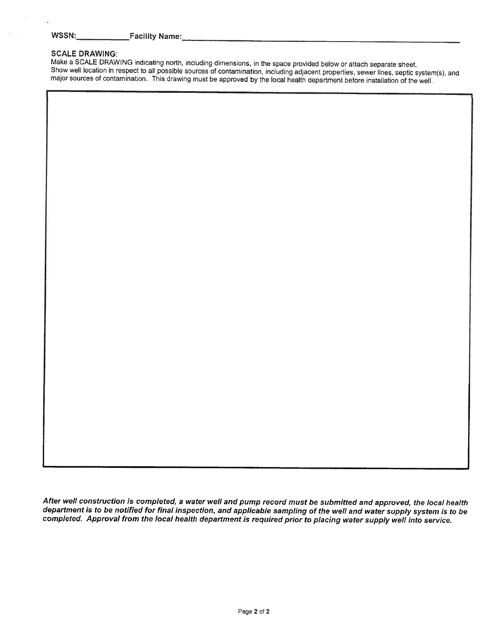$\alpha$ 

#### **SCALE DRAWING:**

Make a SCALE DRAWING indicating north, including dimensions, in the space provided below or attach separate sheet. Show well location in respect to all possible sources of contamination, including adjacent properties, sewer lines, septic system(s), and major sources of contamination. This drawing must be approved by the local health department before installation of the well.

After well construction is completed, a water well and pump record must be submitted and approved, the local health department is to be notified for final inspection, and applicable sampling of the well and water supply system is to be completed. Approval from the local health department is required prior to placing water supply well into service.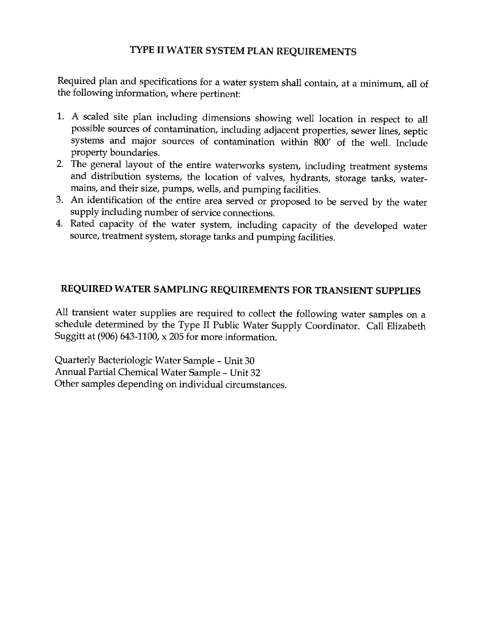## TYPE II WATER SYSTEM PLAN REQUIREMENTS

Required plan and specifications for a water system shall contain, at a minimum, all of the following information, where pertinent:

- 1. A scaled site plan including dimensions showing well location in respect to all possible sources of contamination, including adjacent properties, sewer lines, septic systems and major sources of contamination within 800' of the well. Include property boundaries.
- 2. The general layout of the entire waterworks system, including treatment systems and distribution systems, the location of valves, hydrants, storage tanks, watermains, and their size, pumps, wells, and pumping facilities.
- 3. An identification of the entire area served or proposed to be served by the water supply including number of service connections.
- 4. Rated capacity of the water system, including capacity of the developed water source, treatment system, storage tanks and pumping facilities.

## REQUIRED WATER SAMPLING REQUIREMENTS FOR TRANSIENT SUPPLIES

All transient water supplies are required to collect the following water samples on a schedule determined by the Type II Public Water Supply Coordinator. Call Elizabeth Suggitt at  $(906)$  643-1100, x 205 for more information.

Quarterly Bacteriologic Water Sample - Unit 30 Annual Partial Chemical Water Sample - Unit 32 Other samples depending on individual circumstances.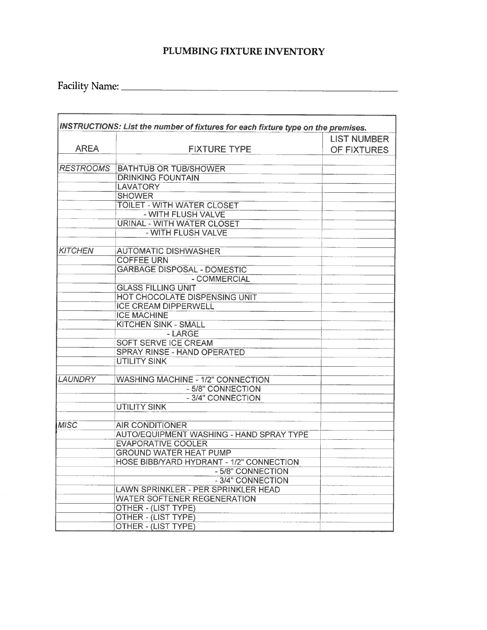# PLUMBING FIXTURE INVENTORY

<u> 1980 - Johann Johann Stoff, deutscher Stoff, der Stoff, der Stoff, der Stoff, der Stoff, der Stoff, der Stoff</u>

| <b>AREA</b><br><b>RESTROOMS</b> | <b>FIXTURE TYPE</b><br><b>BATHTUB OR TUB/SHOWER</b><br><b>DRINKING FOUNTAIN</b> | <b>LIST NUMBER</b><br>OF FIXTURES |
|---------------------------------|---------------------------------------------------------------------------------|-----------------------------------|
|                                 |                                                                                 |                                   |
|                                 |                                                                                 |                                   |
|                                 |                                                                                 |                                   |
|                                 |                                                                                 |                                   |
|                                 | <b>LAVATORY</b>                                                                 |                                   |
|                                 | <b>SHOWER</b>                                                                   |                                   |
|                                 | <b>TOILET - WITH WATER CLOSET</b>                                               |                                   |
|                                 | - WITH FLUSH VALVE                                                              |                                   |
|                                 | URINAL - WITH WATER CLOSET                                                      |                                   |
|                                 | - WITH FLUSH VALVE                                                              |                                   |
| <b>KITCHEN</b>                  | <b>AUTOMATIC DISHWASHER</b>                                                     |                                   |
|                                 | <b>COFFEE URN</b>                                                               |                                   |
|                                 | <b>GARBAGE DISPOSAL - DOMESTIC</b>                                              |                                   |
|                                 | - COMMERCIAL                                                                    |                                   |
|                                 | <b>GLASS FILLING UNIT</b>                                                       |                                   |
|                                 | HOT CHOCOLATE DISPENSING UNIT                                                   |                                   |
|                                 | <b>ICE CREAM DIPPERWELL</b>                                                     |                                   |
|                                 | <b>ICE MACHINE</b>                                                              |                                   |
|                                 | <b>KITCHEN SINK - SMALL</b>                                                     |                                   |
|                                 | - LARGE                                                                         |                                   |
|                                 | <b>SOFT SERVE ICE CREAM</b>                                                     |                                   |
|                                 | <b>SPRAY RINSE - HAND OPERATED</b>                                              |                                   |
|                                 | <b>UTILITY SINK</b>                                                             |                                   |
| <b>LAUNDRY</b>                  | <b>WASHING MACHINE - 1/2" CONNECTION</b>                                        |                                   |
|                                 | - 5/8" CONNECTION                                                               |                                   |
|                                 | - 3/4" CONNECTION                                                               |                                   |
|                                 | <b>UTILITY SINK</b>                                                             |                                   |
|                                 |                                                                                 |                                   |
| <b>MISC</b>                     | <b>AIR CONDITIONER</b>                                                          |                                   |
|                                 | AUTO/EQUIPMENT WASHING - HAND SPRAY TYPE                                        |                                   |
|                                 | <b>EVAPORATIVE COOLER</b>                                                       |                                   |
|                                 | <b>GROUND WATER HEAT PUMP</b>                                                   |                                   |
|                                 | <b>HOSE BIBB/YARD HYDRANT - 1/2" CONNECTION</b>                                 |                                   |
|                                 | - 5/8" CONNECTION                                                               |                                   |
|                                 | - 3/4" CONNECTION                                                               |                                   |
|                                 | LAWN SPRINKLER - PER SPRINKLER HEAD                                             |                                   |
|                                 | <b>WATER SOFTENER REGENERATION</b>                                              |                                   |
|                                 | <b>OTHER - (LIST TYPE)</b>                                                      |                                   |
|                                 | OTHER - (LIST TYPE)                                                             |                                   |
|                                 | OTHER - (LIST TYPE)                                                             |                                   |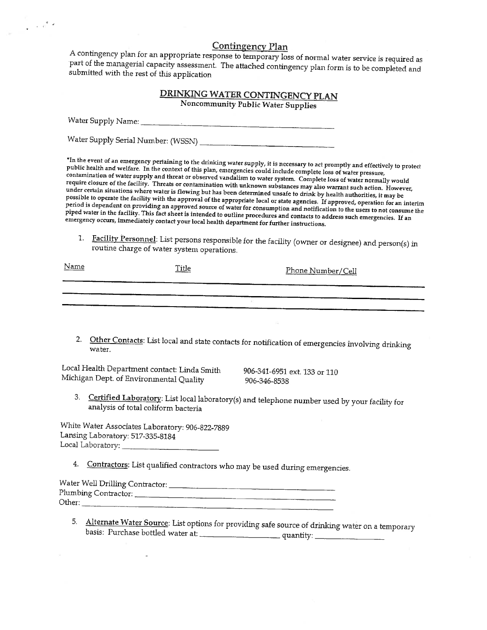### **Contingency Plan**

A contingency plan for an appropriate response to temporary loss of normal water service is required as part of the managerial capacity assessment. The attached contingency plan form is to be completed and submitted with the rest of this application

| DRINKING WATER CONTINGENCY PLAN    |  |
|------------------------------------|--|
| Noncommunity Public Water Supplies |  |

Water Supply Name:

Water Supply Serial Number: (WSSN) \_\_\_\_

 $\frac{1}{\left|\mathbf{q}\right|}$  ,  $\frac{1}{\left|\mathbf{q}\right|}$  ,

\*In the event of an emergency pertaining to the drinking water supply, it is necessary to act promptly and effectively to protect public health and welfare. In the context of this plan, emergencies could include complete loss of water pressure, contamination of water supply and threat or observed vandalism to water system. Complete loss of water normally would require closure of the facility. Threats or contamination with unknown substances may also warrant such action. However, under certain situations where water is flowing but has been determined unsafe to drink by health authorities, it may be possible to operate the facility with the approval of the appropriate local or state agencies. If approved, operation for an interim period is dependent on providing an approved source of water for consumption and notification to the users to not consume the piped water in the facility. This fact sheet is intended to outline procedures and contacts to address such emergencies. If an energency occurs, immediately contact your local health department for further instructions.

1. Facility Personnel: List persons responsible for the facility (owner or designee) and person(s) in routine charge of water system operations.

| <u>Name</u> | <b>Title</b> | <u> Phone Number/Cell</u> |
|-------------|--------------|---------------------------|
|             |              |                           |
|             |              |                           |

2. Other Contacts: List local and state contacts for notification of emergencies involving drinking water.

Local Health Department contact: Linda Smith Michigan Dept. of Environmental Quality

906-341-6951 ext. 133 or 110 906-346-8538

3. Certified Laboratory: List local laboratory(s) and telephone number used by your facility for analysis of total coliform bacteria

White Water Associates Laboratory: 906-822-7889 Lansing Laboratory: 517-335-8184 Local Laboratory:

4. Contractors: List qualified contractors who may be used during emergencies.

| Water Well Drilling Contractor: |  |
|---------------------------------|--|
| Plumbing Contractor:            |  |
| Other:                          |  |

5. Alternate Water Source: List options for providing safe source of drinking water on a temporary